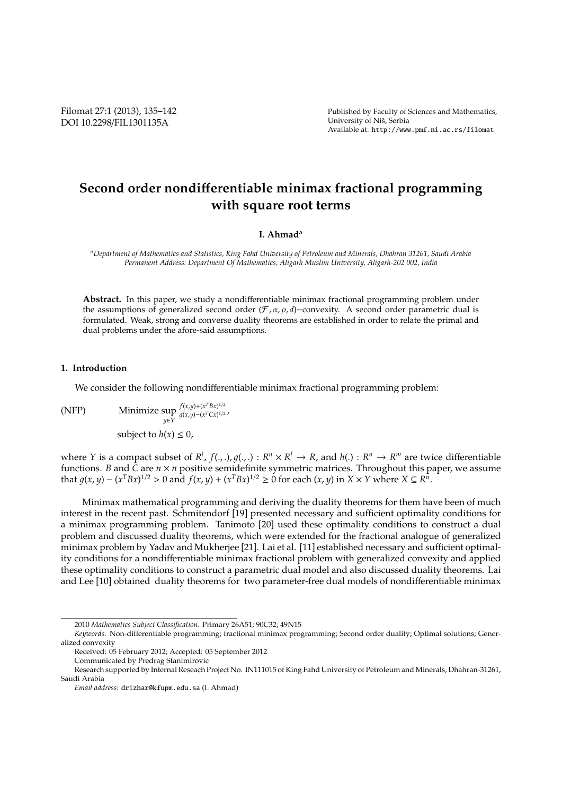Filomat 27:1 (2013), 135–142 DOI 10.2298/FIL1301135A

# **Second order nondi**ff**erentiable minimax fractional programming with square root terms**

## **I. Ahmad<sup>a</sup>**

*<sup>a</sup>Department of Mathematics and Statistics, King Fahd University of Petroleum and Minerals, Dhahran 31261, Saudi Arabia Permanent Address: Department Of Mathematics, Aligarh Muslim University, Aligarh-202 002, India*

**Abstract.** In this paper, we study a nondifferentiable minimax fractional programming problem under the assumptions of generalized second order  $(F, \alpha, \rho, d)$ −convexity. A second order parametric dual is formulated. Weak, strong and converse duality theorems are established in order to relate the primal and dual problems under the afore-said assumptions.

#### **1. Introduction**

We consider the following nondifferentiable minimax fractional programming problem:

(NFP) Minimize sup *y*∈*Y f*(*x*,*y*)+(*x <sup>T</sup>Bx*) 1/2  $\frac{f(x, y) + (x - bx)}{g(x, y) - (x<sup>T</sup>Cx)^{1/2}}$ subject to  $h(x) \leq 0$ ,

where *Y* is a compact subset of  $R^l$ ,  $f(.,.), g(.,.): R^n \times R^l \to R$ , and  $h(.) : R^n \to R^m$  are twice differentiable functions. *B* and *C* are *n* × *n* positive semidefinite symmetric matrices. Throughout this paper, we assume that  $g(x, y) - (x^T B x)^{1/2} > 0$  and  $f(x, y) + (x^T B x)^{1/2} \ge 0$  for each  $(x, y)$  in  $X \times Y$  where  $X \subseteq R^n$ .

Minimax mathematical programming and deriving the duality theorems for them have been of much interest in the recent past. Schmitendorf [19] presented necessary and sufficient optimality conditions for a minimax programming problem. Tanimoto [20] used these optimality conditions to construct a dual problem and discussed duality theorems, which were extended for the fractional analogue of generalized minimax problem by Yadav and Mukherjee [21]. Lai et al. [11] established necessary and sufficient optimality conditions for a nondifferentiable minimax fractional problem with generalized convexity and applied these optimality conditions to construct a parametric dual model and also discussed duality theorems. Lai and Lee [10] obtained duality theorems for two parameter-free dual models of nondifferentiable minimax

<sup>2010</sup> *Mathematics Subject Classification*. Primary 26A51; 90C32; 49N15

*Keywords*. Non-differentiable programming; fractional minimax programming; Second order duality; Optimal solutions; Generalized convexity

Received: 05 February 2012; Accepted: 05 September 2012 Communicated by Predrag Stanimirovic

Research supported by Internal Reseach Project No. IN111015 of King Fahd University of Petroleum and Minerals, Dhahran-31261, Saudi Arabia

*Email address:* drizhar@kfupm.edu.sa (I. Ahmad)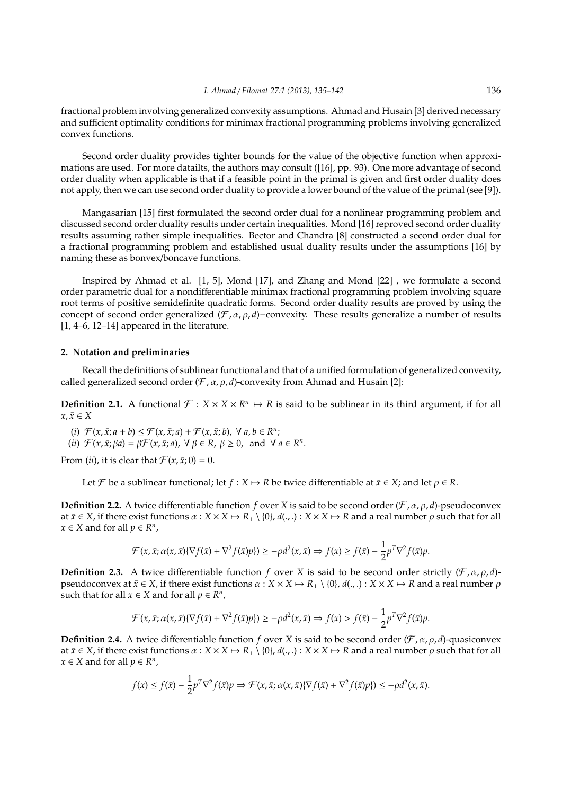fractional problem involving generalized convexity assumptions. Ahmad and Husain [3] derived necessary and sufficient optimality conditions for minimax fractional programming problems involving generalized convex functions.

Second order duality provides tighter bounds for the value of the objective function when approximations are used. For more datailts, the authors may consult ([16], pp. 93). One more advantage of second order duality when applicable is that if a feasible point in the primal is given and first order duality does not apply, then we can use second order duality to provide a lower bound of the value of the primal (see [9]).

Mangasarian [15] first formulated the second order dual for a nonlinear programming problem and discussed second order duality results under certain inequalities. Mond [16] reproved second order duality results assuming rather simple inequalities. Bector and Chandra [8] constructed a second order dual for a fractional programming problem and established usual duality results under the assumptions [16] by naming these as bonvex/boncave functions.

Inspired by Ahmad et al. [1, 5], Mond [17], and Zhang and Mond [22] , we formulate a second order parametric dual for a nondifferentiable minimax fractional programming problem involving square root terms of positive semidefinite quadratic forms. Second order duality results are proved by using the concept of second order generalized ( $\mathcal{F}, \alpha, \rho, d$ )−convexity. These results generalize a number of results [1, 4–6, 12–14] appeared in the literature.

#### **2. Notation and preliminaries**

Recall the definitions of sublinear functional and that of a unified formulation of generalized convexity, called generalized second order  $(\mathcal{F}, \alpha, \rho, d)$ -convexity from Ahmad and Husain [2]:

**Definition 2.1.** A functional  $\mathcal{F}: X \times X \times \mathbb{R}^n \mapsto \mathbb{R}$  is said to be sublinear in its third argument, if for all  $x, \bar{x} \in X$ 

 $(f)$   $\mathcal{F}(x, \bar{x}; a+b) \leq \mathcal{F}(x, \bar{x}; a) + \mathcal{F}(x, \bar{x}; b)$ ,  $\forall a, b \in \mathbb{R}^n$ ;

(*ii*)  $\mathcal{F}(x, \bar{x}; \beta a) = \beta \mathcal{F}(x, \bar{x}; a), \forall \beta \in \mathbb{R}, \beta \ge 0, \text{ and } \forall a \in \mathbb{R}^n$ .

From (*ii*), it is clear that  $\mathcal{F}(x, \bar{x}; 0) = 0$ .

Let *F* be a sublinear functional; let *f* : *X*  $\mapsto$  *R* be twice differentiable at  $\bar{x} \in X$ ; and let  $\rho \in R$ .

**Definition 2.2.** A twice differentiable function *f* over *X* is said to be second order ( $\mathcal{F}, \alpha, \rho, d$ )-pseudoconvex at  $\bar{x} \in X$ , if there exist functions  $\alpha : X \times X \mapsto R_+ \setminus \{0\}$ ,  $d(.,.) : X \times X \mapsto R$  and a real number  $\rho$  such that for all  $x \in X$  and for all  $p \in R^n$ ,

$$
\mathcal{F}(x,\bar{x};\alpha(x,\bar{x})\{\nabla f(\bar{x})+\nabla^2 f(\bar{x})p\}) \ge -\rho d^2(x,\bar{x}) \Rightarrow f(x) \ge f(\bar{x}) - \frac{1}{2}p^T\nabla^2 f(\bar{x})p.
$$

**Definition 2.3.** A twice differentiable function *f* over *X* is said to be second order strictly  $(\mathcal{F}, \alpha, \rho, d)$ pseudoconvex at  $\bar{x} \in X$ , if there exist functions  $\alpha : X \times X \mapsto R_+ \setminus \{0\}, d(.,.): X \times X \mapsto R$  and a real number  $\rho$ such that for all  $x \in X$  and for all  $p \in R^n$ ,

$$
\mathcal{F}(x,\bar{x};\alpha(x,\bar{x})\{\nabla f(\bar{x})+\nabla^2 f(\bar{x})p\})\geq -\rho d^2(x,\bar{x})\Rightarrow f(x)>f(\bar{x})-\frac{1}{2}p^T\nabla^2 f(\bar{x})p.
$$

**Definition 2.4.** A twice differentiable function *f* over *X* is said to be second order ( $\mathcal{F}, \alpha, \rho, d$ )-quasiconvex at  $\bar{x} \in X$ , if there exist functions  $\alpha : X \times X \mapsto R_+ \setminus \{0\}$ ,  $d(.,.): X \times X \mapsto R$  and a real number  $\rho$  such that for all  $x \in X$  and for all  $p \in R^n$ ,

$$
f(x) \le f(\bar{x}) - \frac{1}{2} p^T \nabla^2 f(\bar{x}) p \Rightarrow \mathcal{F}(x, \bar{x}; \alpha(x, \bar{x}) \{ \nabla f(\bar{x}) + \nabla^2 f(\bar{x}) p \}) \le -\rho d^2(x, \bar{x}).
$$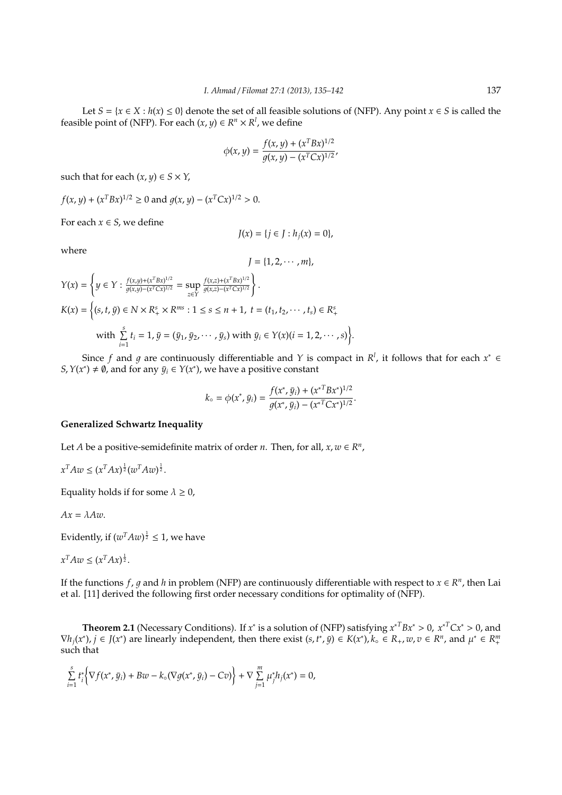Let  $S = \{x \in X : h(x) \le 0\}$  denote the set of all feasible solutions of (NFP). Any point  $x \in S$  is called the feasible point of (NFP). For each  $(x, y) \in R^n \times R^l$ , we define

$$
\phi(x,y) = \frac{f(x,y) + (x^T B x)^{1/2}}{g(x,y) - (x^T C x)^{1/2}},
$$

such that for each  $(x, y) \in S \times Y$ ,

$$
f(x, y) + (x^T B x)^{1/2} \ge 0
$$
 and  $g(x, y) - (x^T C x)^{1/2} > 0$ .

For each  $x \in S$ , we define

$$
J(x) = \{ j \in J : h_j(x) = 0 \},
$$

where

$$
J=\{1,2,\cdots,m\},\,
$$

 $\Delta$ 

$$
Y(x) = \left\{ y \in Y : \frac{f(x,y) + (x^T B x)^{1/2}}{g(x,y) - (x^T C x)^{1/2}} = \sup_{z \in Y} \frac{f(x,z) + (x^T B x)^{1/2}}{g(x,z) - (x^T C x)^{1/2}} \right\}.
$$
  
\n
$$
K(x) = \left\{ (s, t, \tilde{y}) \in N \times R_+^s \times R^{ms} : 1 \le s \le n + 1, \ t = (t_1, t_2, \dots, t_s) \in R_+^s
$$
  
\nwith  $\sum_{i=1}^s t_i = 1, \tilde{y} = (\bar{y}_1, \bar{y}_2, \dots, \bar{y}_s)$  with  $\bar{y}_i \in Y(x) (i = 1, 2, \dots, s) \right\}.$ 

Since *f* and *g* are continuously differentiable and *Y* is compact in  $R^l$ , it follows that for each  $x^* \in$ *S*, *Y*(*x*<sup>\*</sup>)  $\neq$  *Ø*, and for any  $\bar{y}_i \in Y(x^*)$ , we have a positive constant

$$
k_{\circ} = \phi(x^*, \bar{y}_i) = \frac{f(x^*, \bar{y}_i) + (x^{*T}Bx^*)^{1/2}}{g(x^*, \bar{y}_i) - (x^{*T}Cx^*)^{1/2}}.
$$

## **Generalized Schwartz Inequality**

Let *A* be a positive-semidefinite matrix of order *n*. Then, for all,  $x, w \in \mathbb{R}^n$ ,

$$
x^T A w \le (x^T A x)^{\frac{1}{2}} (w^T A w)^{\frac{1}{2}}.
$$

Equality holds if for some  $\lambda \geq 0$ ,

$$
Ax=\lambda Aw.
$$

Evidently, if  $(w^T A w)^{\frac{1}{2}} \leq 1$ , we have

$$
x^T A w \le (x^T A x)^{\frac{1}{2}}.
$$

If the functions  $f$ ,  $g$  and  $h$  in problem (NFP) are continuously differentiable with respect to  $x \in R^n$ , then Lai et al. [11] derived the following first order necessary conditions for optimality of (NFP).

**Theorem 2.1** (Necessary Conditions). If *x*<sup>∗</sup> is a solution of (NFP) satisfying  $x^{*T}Bx^{*} > 0$ ,  $x^{*T}Cx^{*} > 0$ , and  $\nabla h_j(x^*)$ ,  $j \in J(x^*)$  are linearly independent, then there exist  $(s, t^*, \bar{y}) \in K(x^*)$ ,  $k_{\circ} \in R_+$ ,  $w, v \in R^n$ , and  $\mu^* \in R_+^m$ such that

$$
\sum_{i=1}^s t_i^* \Big\{ \nabla f(x^*, \bar{y}_i) + Bw - k_{\circ}(\nabla g(x^*, \bar{y}_i) - Cv) \Big\} + \nabla \sum_{j=1}^m \mu_j^* h_j(x^*) = 0,
$$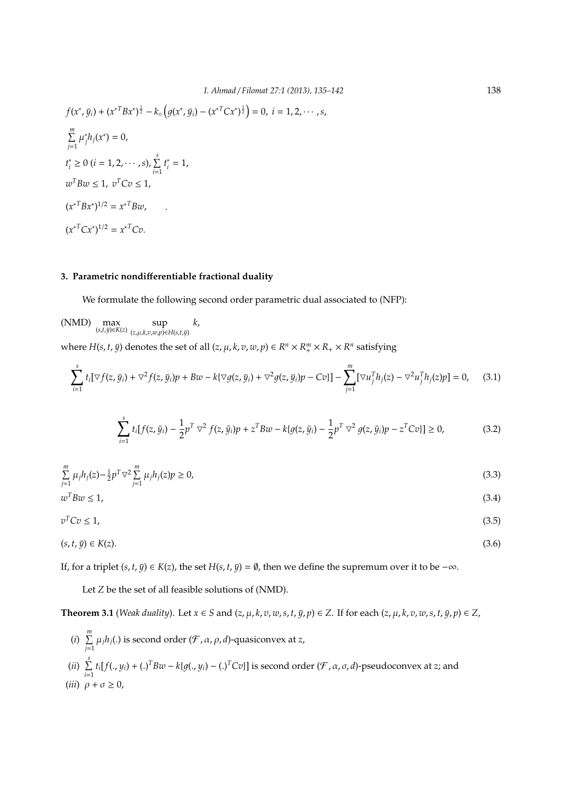$$
f(x^*, \bar{y}_i) + (x^{*T}Bx^*)^{\frac{1}{2}} - k_o(g(x^*, \bar{y}_i) - (x^{*T}Cx^*)^{\frac{1}{2}}) = 0, \ i = 1, 2, \cdots, s,
$$
  

$$
\sum_{j=1}^{m} \mu_j^* h_j(x^*) = 0,
$$
  

$$
t_i^* \ge 0 \ (i = 1, 2, \cdots, s), \sum_{i=1}^{s} t_i^* = 1,
$$
  

$$
w^T Bw \le 1, \ v^T Cv \le 1,
$$
  

$$
(x^{*T}Bx^*)^{1/2} = x^{*T}Bw,
$$
  

$$
(x^{*T}Cx^*)^{1/2} = x^{*T}Cv.
$$

## **3. Parametric nondi**ff**erentiable fractional duality**

We formulate the following second order parametric dual associated to (NFP):

$$
\text{(NMD)}\ \ \underset{(s,t,\bar{y})\in K(z)}{\max}\ \underset{(z,\mu,k,v,w,p)\in H(s,t,\bar{y})}{\sup}\ k,
$$

where  $H(s, t, \bar{y})$  denotes the set of all  $(z, \mu, k, v, w, p) \in R^n \times R_+^m \times R_+ \times R^n$  satisfying

$$
\sum_{i=1}^{s} t_i [\nabla f(z, \bar{y}_i) + \nabla^2 f(z, \bar{y}_i) p + Bw - k \{ \nabla g(z, \bar{y}_i) + \nabla^2 g(z, \bar{y}_i) p - Cv \}] - \sum_{j=1}^{m} [\nabla u_j^T h_j(z) - \nabla^2 u_j^T h_j(z) p] = 0, \quad (3.1)
$$

$$
\sum_{i=1}^{s} t_i [f(z, \bar{y}_i) - \frac{1}{2} p^T \nabla^2 f(z, \bar{y}_i) p + z^T B w - k \{ g(z, \bar{y}_i) - \frac{1}{2} p^T \nabla^2 g(z, \bar{y}_i) p - z^T C v \}] \ge 0,
$$
\n(3.2)

$$
\sum_{j=1}^{m} \mu_j h_j(z) - \frac{1}{2} p^T \nabla^2 \sum_{j=1}^{m} \mu_j h_j(z) p \ge 0,
$$
\n(3.3)

 $w^T B w \leq 1$ ,  $T$ *Bw*  $\leq 1$ , (3.4)

$$
v^T C v \le 1,\tag{3.5}
$$

$$
(s, t, \bar{y}) \in K(z). \tag{3.6}
$$

If, for a triplet  $(s, t, \bar{y}) \in K(z)$ , the set  $H(s, t, \bar{y}) = \emptyset$ , then we define the supremum over it to be  $-\infty$ .

Let *Z* be the set of all feasible solutions of (NMD).

**Theorem 3.1** (Weak duality). Let  $x \in S$  and  $(z, \mu, k, v, w, s, t, \bar{y}, p) \in Z$ . If for each  $(z, \mu, k, v, w, s, t, \bar{y}, p) \in Z$ ,

(*i*) ∑*m*  $\sum\limits_{j=1} \mu_j h_j(.)$  is second order  $(\mathcal{F}, \alpha, \rho, d)$ -quasiconvex at *z*, (*ii*) ∑*s*  $\sum_{i=1} t_i [f(., y_i) + (.)^T Bw - k \{g(., y_i) - (.)^T Cv\}]$  is second order  $(\mathcal{F}, \alpha, \sigma, d)$ -pseudoconvex at *z*; and (*iii*)  $\rho + \sigma \geq 0$ ,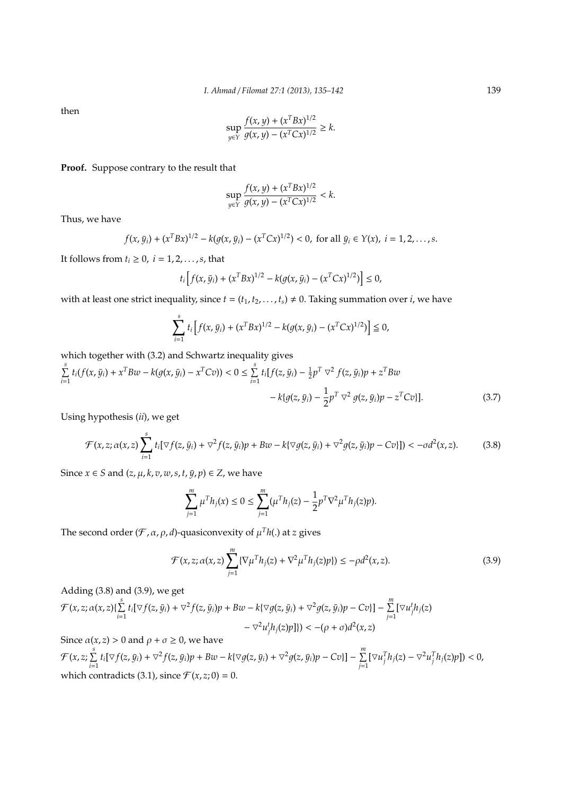then

$$
\sup_{y \in Y} \frac{f(x, y) + (x^T B x)^{1/2}}{g(x, y) - (x^T C x)^{1/2}} \ge k.
$$

**Proof.** Suppose contrary to the result that

$$
\sup_{y \in Y} \frac{f(x, y) + (x^T B x)^{1/2}}{g(x, y) - (x^T C x)^{1/2}} < k.
$$

Thus, we have

$$
f(x, \bar{y}_i) + (x^T B x)^{1/2} - k(g(x, \bar{y}_i) - (x^T C x)^{1/2}) < 0, \text{ for all } \bar{y}_i \in Y(x), \ i = 1, 2, \ldots, s.
$$

It follows from  $t_i \geq 0$ ,  $i = 1, 2, \ldots, s$ , that

$$
t_i \left[ f(x, \bar{y}_i) + (x^T B x)^{1/2} - k(g(x, \bar{y}_i) - (x^T C x)^{1/2}) \right] \leq 0,
$$

with at least one strict inequality, since  $t = (t_1, t_2, \ldots, t_s) \neq 0$ . Taking summation over *i*, we have

$$
\sum_{i=1}^{s} t_i \left[ f(x, \bar{y}_i) + (x^T B x)^{1/2} - k(g(x, \bar{y}_i) - (x^T C x)^{1/2}) \right] \leq 0,
$$

which together with (3.2) and Schwartz inequality gives

$$
\sum_{i=1}^{s} t_i (f(x, \bar{y}_i) + x^T B w - k(g(x, \bar{y}_i) - x^T C v)) < 0 \le \sum_{i=1}^{s} t_i [f(z, \bar{y}_i) - \frac{1}{2} p^T \nabla^2 f(z, \bar{y}_i) p + z^T B w - k \{ g(z, \bar{y}_i) - \frac{1}{2} p^T \nabla^2 g(z, \bar{y}_i) p - z^T C v \}]. \tag{3.7}
$$

Using hypothesis (*ii*), we get

$$
\mathcal{F}(x,z;\alpha(x,z)\sum_{i=1}^s t_i[\nabla f(z,\bar{y}_i)+\nabla^2 f(z,\bar{y}_i)p+Bw-k\{\nabla g(z,\bar{y}_i)+\nabla^2 g(z,\bar{y}_i)p-Cv\}]\n\leq -\sigma d^2(x,z).\n\tag{3.8}
$$

Since  $x \in S$  and  $(z, \mu, k, v, w, s, t, \bar{y}, p) \in Z$ , we have

$$
\sum_{j=1}^{m} \mu^{T} h_{j}(x) \leq 0 \leq \sum_{j=1}^{m} (\mu^{T} h_{j}(z) - \frac{1}{2} p^{T} \nabla^{2} \mu^{T} h_{j}(z) p).
$$

The second order  $(\mathcal{F}, \alpha, \rho, d)$ -quasiconvexity of  $\mu^{T} h(.)$  at *z* gives

$$
\mathcal{F}(x,z;\alpha(x,z))\sum_{j=1}^{m}\{\nabla\mu^{T}h_{j}(z)+\nabla^{2}\mu^{T}h_{j}(z)p\})\leq-\rho d^{2}(x,z).
$$
\n(3.9)

Adding (3.8) and (3.9), we get

$$
\mathcal{F}(x,z;\alpha(x,z)\{\sum_{i=1}^{s}t_i[\nabla f(z,\bar{y}_i)+\nabla^2 f(z,\bar{y}_i)p+Bw-k\{\nabla g(z,\bar{y}_i)+\nabla^2 g(z,\bar{y}_i)p-Cv\}]-\sum_{j=1}^{m}[\nabla u_j^th_j(z)-\nabla^2 u_j^th_j(z)p]\})<-(\rho+\sigma)d^2(x,z)
$$

Since  $\alpha(x, z) > 0$  and  $\rho + \sigma \ge 0$ , we have  $\mathcal{F}(x,z;\sum\limits_{i=1}^{s}$  $\sum_{i=1}^{s} t_i [\nabla f(z, \bar{y}_i) + \nabla^2 f(z, \bar{y}_i) p + Bw - k(\nabla g(z, \bar{y}_i) + \nabla^2 g(z, \bar{y}_i) p - Cv)] - \sum_{j=1}^{m}$  $\sum_{j=1} [\nabla u_j^T h_j(z) - \nabla^2 u_j^T h_j(z)p]$ ) < 0, which contradicts (3.1), since  $\mathcal{F}(x, z; 0) = 0$ .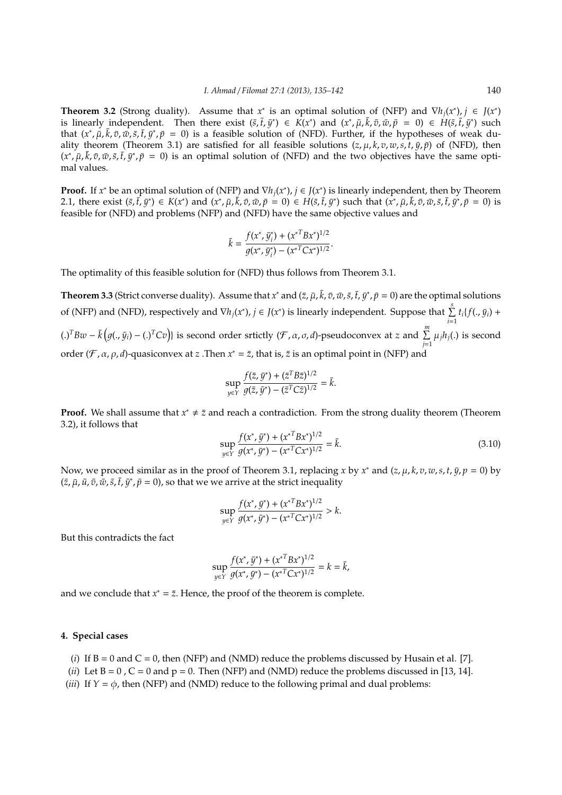**Theorem 3.2** (Strong duality). Assume that *x*<sup>\*</sup> is an optimal solution of (NFP) and  $\nabla h_j(x^*)$ ,  $j \in J(x^*)$ is linearly independent. Then there exist  $(\bar{s}, \bar{t}, \bar{y}^*) \in K(x^*)$  and  $(x^*, \bar{\mu}, \bar{k}, \bar{v}, \bar{w}, \bar{p} = 0) \in H(\bar{s}, \bar{t}, \bar{y}^*)$  such that  $(x^*, \bar{\mu}, \bar{k}, \bar{v}, \bar{w}, \bar{s}, \bar{t}, \bar{y}^*, \bar{p} = 0)$  is a feasible solution of (NFD). Further, if the hypotheses of weak duality theorem (Theorem 3.1) are satisfied for all feasible solutions  $(z, \mu, k, v, w, s, t, \bar{v}, \bar{v})$  of (NFD), then  $(x^*, \bar{\mu}, \bar{k}, \bar{v}, \bar{w}, \bar{s}, \bar{t}, \bar{y}^*, \bar{p} = 0)$  is an optimal solution of (NFD) and the two objectives have the same optimal values.

**Proof.** If  $x^*$  be an optimal solution of (NFP) and  $\nabla h_j(x^*)$ ,  $j \in J(x^*)$  is linearly independent, then by Theorem 2.1, there exist  $(\bar{s}, \bar{t}, \bar{y}^*) \in K(x^*)$  and  $(x^*, \bar{\mu}, \bar{k}, \bar{\nu}, \bar{w}, \bar{p} = 0) \in H(\bar{s}, \bar{t}, \bar{y}^*)$  such that  $(x^*, \bar{\mu}, \bar{k}, \bar{\nu}, \bar{w}, \bar{s}, \bar{t}, \bar{y}^*, \bar{p} = 0)$  is feasible for (NFD) and problems (NFP) and (NFD) have the same objective values and

$$
\bar{k} = \frac{f(x^*, \bar{y}_i^*) + (x^{*T}Bx^*)^{1/2}}{g(x^*, \bar{y}_i^*) - (x^{*T}Cx^*)^{1/2}}.
$$

The optimality of this feasible solution for (NFD) thus follows from Theorem 3.1.

**Theorem 3.3** (Strict converse duality). Assume that  $x^*$  and  $(\bar{z}, \bar{\mu}, \bar{k}, \bar{v}, \bar{w}, \bar{s}, \bar{t}, \bar{y}^*, \bar{p} = 0)$  are the optimal solutions of (NFP) and (NFD), respectively and  $\nabla h_j(x^*)$ ,  $j \in J(x^*)$  is linearly independent. Suppose that  $\sum s_j t_i(f(., j_i) +$ *i*=1 (.)<sup>T</sup>Bw −  $\bar{k}$ ( $g(., \bar{y}_i)$  − (.)<sup>T</sup>Cv)} is second order srtictly ( $\mathcal{F}, \alpha, \sigma, d$ )-pseudoconvex at *z* and  $\sum_{j=1}^{m} \mu_j h_j(.)$  is second order (*F*, *α*, *ρ*, *d*)-quasiconvex at *z* . Then  $x^* = \overline{z}$ , that is,  $\overline{z}$  is an optimal point in (NFP) and

$$
\sup_{y \in Y} \frac{f(\bar{z}, \bar{y}^*) + (\bar{z}^T B \bar{z})^{1/2}}{g(\bar{z}, \bar{y}^*) - (\bar{z}^T C \bar{z})^{1/2}} = \bar{k}.
$$

**Proof.** We shall assume that  $x^* \neq \overline{z}$  and reach a contradiction. From the strong duality theorem (Theorem 3.2), it follows that

$$
\sup_{y \in Y} \frac{f(x^*, \bar{y}^*) + (x^{*T} B x^*)^{1/2}}{g(x^*, \bar{y}^*) - (x^{*T} C x^*)^{1/2}} = \bar{k}.
$$
\n(3.10)

Now, we proceed similar as in the proof of Theorem 3.1, replacing *x* by *x*<sup>\*</sup> and (*z*,  $\mu$ ,  $k$ ,  $v$ ,  $w$ ,  $s$ ,  $t$ ,  $\bar{y}$ ,  $p = 0$ ) by  $(z, \bar{\mu}, \bar{u}, \bar{v}, \bar{w}, \bar{s}, \bar{t}, \bar{y}^*, \bar{p} = 0$ , so that we we arrive at the strict inequality

$$
\sup_{y \in Y} \frac{f(x^*, \bar{y}^*) + (x^{*T}Bx^*)^{1/2}}{g(x^*, \bar{y}^*) - (x^{*T}Cx^*)^{1/2}} > k.
$$

But this contradicts the fact

$$
\sup_{y \in Y} \frac{f(x^*, \bar{y}^*) + (x^{*T} B x^*)^{1/2}}{g(x^*, \bar{y}^*) - (x^{*T} C x^*)^{1/2}} = k = \bar{k},
$$

and we conclude that  $x^* = \overline{z}$ . Hence, the proof of the theorem is complete.

## **4. Special cases**

- (*i*) If  $B = 0$  and  $C = 0$ , then (NFP) and (NMD) reduce the problems discussed by Husain et al. [7].
- (*ii*) Let  $B = 0$ ,  $C = 0$  and  $p = 0$ . Then (NFP) and (NMD) reduce the problems discussed in [13, 14].
- (*iii*) If  $Y = \phi$ , then (NFP) and (NMD) reduce to the following primal and dual problems: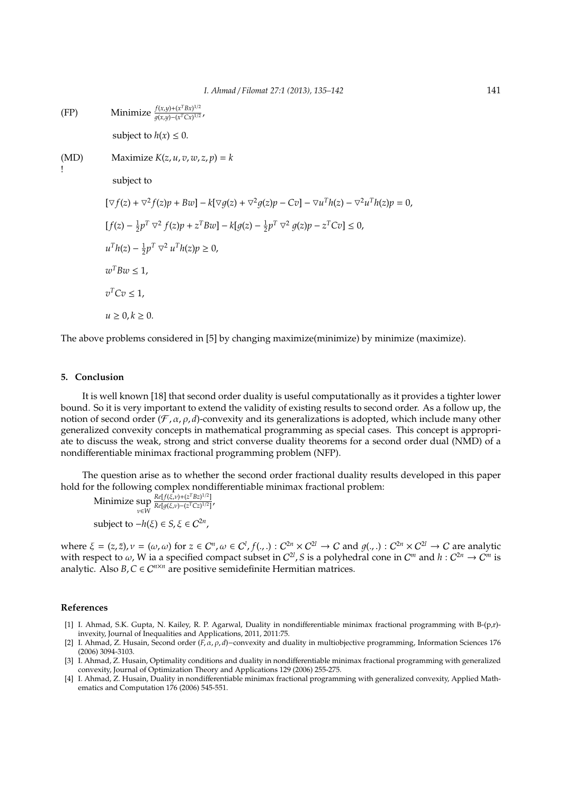(FP) Minimize 
$$
\frac{f(x,y)+ (x^T Bx)^{1/2}}{g(x,y)- (x^T Cx)^{1/2}}
$$
,  
\nsubject to  $h(x) \le 0$ .  
\n(MD) Maximize  $K(z, u, v, w, z, p) = k$   
\n  
\nsubject to  
\n
$$
[\nabla f(z) + \nabla^2 f(z)p + Bw] - k[\nabla g(z) + \nabla^2 g(z)p - Cv] - \nabla u^T h(z) - \nabla^2 u^T h(z)p = 0,
$$
\n
$$
[f(z) - \frac{1}{2}p^T \nabla^2 f(z)p + z^T Bw] - k[g(z) - \frac{1}{2}p^T \nabla^2 g(z)p - z^T Cv] \le 0,
$$
\n
$$
u^T h(z) - \frac{1}{2}p^T \nabla^2 u^T h(z)p \ge 0,
$$
\n
$$
w^T Bw \le 1,
$$
\n
$$
v^T Cv \le 1,
$$
\n
$$
u \ge 0, k \ge 0.
$$

The above problems considered in [5] by changing maximize(minimize) by minimize (maximize).

### **5. Conclusion**

It is well known [18] that second order duality is useful computationally as it provides a tighter lower bound. So it is very important to extend the validity of existing results to second order. As a follow up, the notion of second order ( $\mathcal{F}, \alpha, \rho, d$ )-convexity and its generalizations is adopted, which include many other generalized convexity concepts in mathematical programming as special cases. This concept is appropriate to discuss the weak, strong and strict converse duality theorems for a second order dual (NMD) of a nondifferentiable minimax fractional programming problem (NFP).

The question arise as to whether the second order fractional duality results developed in this paper hold for the following complex nondifferentiable minimax fractional problem:

Minimize sup ν∈*W Re*[*f*(ξ,ν)+( $z$ <sup>T</sup>*Bz*)<sup>1/2</sup>]  $\frac{Re[f(\xi,\nu)+(2BZ)^{-1}]}{Re[g(\xi,\nu)-(Z^{T}CZ)^{1/2}]}$ subject to  $-h(\xi) \in S$ ,  $\xi \in C^{2n}$ ,

where  $\xi = (z, \bar{z})$ ,  $\nu = (\omega, \omega)$  for  $z \in C^n$ ,  $\omega \in C^l$ ,  $f(.,.) : C^{2n} \times C^{2l} \to C$  and  $g(.,.) : C^{2n} \times C^{2l} \to C$  are analytic with respect to  $\omega$ , W ia a specified compact subset in  $C^{2l}$ , S is a polyhedral cone in  $C^m$  and  $h: C^{2n} \to C^m$  is analytic. Also  $B, C \in C^{n \times n}$  are positive semidefinite Hermitian matrices.

### **References**

- [1] I. Ahmad, S.K. Gupta, N. Kailey, R. P. Agarwal, Duality in nondifferentiable minimax fractional programming with B-(p,r) invexity, Journal of Inequalities and Applications, 2011, 2011:75.
- [2] I. Ahmad, Z. Husain, Second order (*F*, α, ρ, *d*)−convexity and duality in multiobjective programming, Information Sciences 176 (2006) 3094-3103.
- [3] I. Ahmad, Z. Husain, Optimality conditions and duality in nondifferentiable minimax fractional programming with generalized convexity, Journal of Optimization Theory and Applications 129 (2006) 255-275.
- [4] I. Ahmad, Z. Husain, Duality in nondifferentiable minimax fractional programming with generalized convexity, Applied Mathematics and Computation 176 (2006) 545-551.